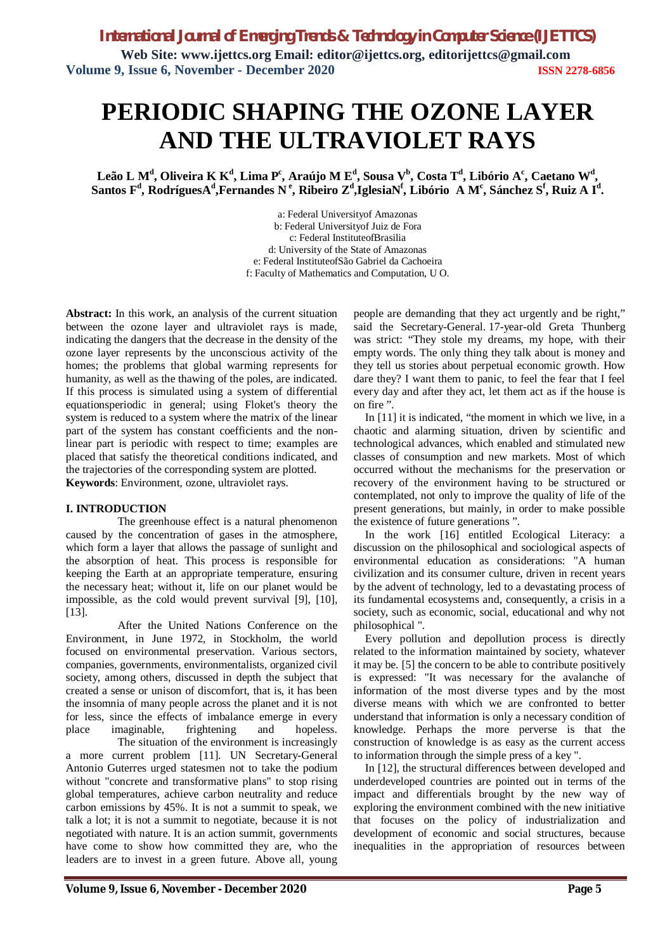# **PERIODIC SHAPING THE OZONE LAYER AND THE ULTRAVIOLET RAYS**

**Leão L M<sup>d</sup> , Oliveira K K<sup>d</sup> , Lima P<sup>c</sup> , Araújo M E<sup>d</sup> , Sousa V<sup>b</sup> , Costa T<sup>d</sup> , Libório A<sup>c</sup> , Caetano W<sup>d</sup> ,**   ${\bf S}$ antos  ${\bf F}^{\rm d}$ , Rodrígues ${\bf A}^{\rm d}$ ,Fernandes N<sup>e</sup>, Ribeiro  ${\bf Z}^{\rm d}$ ,IglesiaN<sup>f</sup>, Libório A M<sup>c</sup>, Sánchez S<sup>f</sup>, Ruiz A I<sup>d</sup>.

> a: Federal Universityof Amazonas b: Federal Universityof Juiz de Fora c: Federal InstituteofBrasilia d: University of the State of Amazonas e: Federal InstituteofSão Gabriel da Cachoeira f: Faculty of Mathematics and Computation, U O.

**Abstract:** In this work, an analysis of the current situation between the ozone layer and ultraviolet rays is made, indicating the dangers that the decrease in the density of the ozone layer represents by the unconscious activity of the homes; the problems that global warming represents for humanity, as well as the thawing of the poles, are indicated. If this process is simulated using a system of differential equationsperiodic in general; using Floket's theory the system is reduced to a system where the matrix of the linear part of the system has constant coefficients and the nonlinear part is periodic with respect to time; examples are placed that satisfy the theoretical conditions indicated, and the trajectories of the corresponding system are plotted. **Keywords**: Environment, ozone, ultraviolet rays.

## **I. INTRODUCTION**

The greenhouse effect is a natural phenomenon caused by the concentration of gases in the atmosphere, which form a layer that allows the passage of sunlight and the absorption of heat. This process is responsible for keeping the Earth at an appropriate temperature, ensuring the necessary heat; without it, life on our planet would be impossible, as the cold would prevent survival [9], [10], [13].

After the United Nations Conference on the Environment, in June 1972, in Stockholm, the world focused on environmental preservation. Various sectors, companies, governments, environmentalists, organized civil society, among others, discussed in depth the subject that created a sense or unison of discomfort, that is, it has been the insomnia of many people across the planet and it is not for less, since the effects of imbalance emerge in every place imaginable, frightening and hopeless.

The situation of the environment is increasingly a more current problem [11]. UN Secretary-General Antonio Guterres urged statesmen not to take the podium without "concrete and transformative plans" to stop rising global temperatures, achieve carbon neutrality and reduce carbon emissions by 45%. It is not a summit to speak, we talk a lot; it is not a summit to negotiate, because it is not negotiated with nature. It is an action summit, governments have come to show how committed they are, who the leaders are to invest in a green future. Above all, young

people are demanding that they act urgently and be right," said the Secretary-General. 17-year-old Greta Thunberg was strict: "They stole my dreams, my hope, with their empty words. The only thing they talk about is money and they tell us stories about perpetual economic growth. How dare they? I want them to panic, to feel the fear that I feel every day and after they act, let them act as if the house is on fire ".

In [11] it is indicated, "the moment in which we live, in a chaotic and alarming situation, driven by scientific and technological advances, which enabled and stimulated new classes of consumption and new markets. Most of which occurred without the mechanisms for the preservation or recovery of the environment having to be structured or contemplated, not only to improve the quality of life of the present generations, but mainly, in order to make possible the existence of future generations ".

In the work [16] entitled Ecological Literacy: a discussion on the philosophical and sociological aspects of environmental education as considerations: "A human civilization and its consumer culture, driven in recent years by the advent of technology, led to a devastating process of its fundamental ecosystems and, consequently, a crisis in a society, such as economic, social, educational and why not philosophical ".

Every pollution and depollution process is directly related to the information maintained by society, whatever it may be. [5] the concern to be able to contribute positively is expressed: "It was necessary for the avalanche of information of the most diverse types and by the most diverse means with which we are confronted to better understand that information is only a necessary condition of knowledge. Perhaps the more perverse is that the construction of knowledge is as easy as the current access to information through the simple press of a key ".

In [12], the structural differences between developed and underdeveloped countries are pointed out in terms of the impact and differentials brought by the new way of exploring the environment combined with the new initiative that focuses on the policy of industrialization and development of economic and social structures, because inequalities in the appropriation of resources between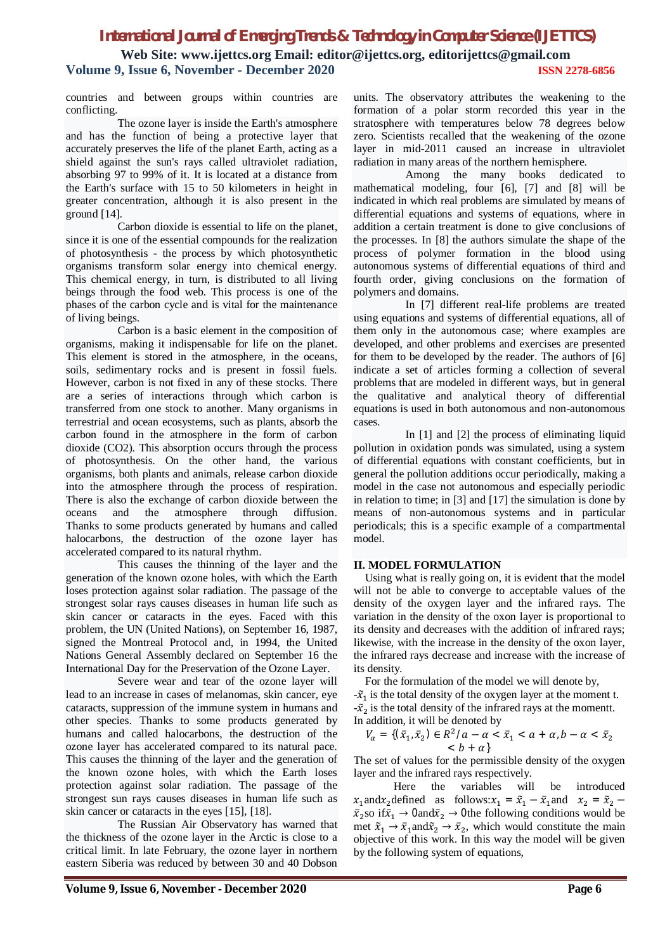## *International Journal of Emerging Trends & Technology in Computer Science (IJETTCS)* **Web Site: www.ijettcs.org Email: editor@ijettcs.org, editorijettcs@gmail.com Volume 9, Issue 6, November - December 2020 ISSN 2278-6856**

countries and between groups within countries are conflicting.

The ozone layer is inside the Earth's atmosphere and has the function of being a protective layer that accurately preserves the life of the planet Earth, acting as a shield against the sun's rays called ultraviolet radiation, absorbing 97 to 99% of it. It is located at a distance from the Earth's surface with 15 to 50 kilometers in height in greater concentration, although it is also present in the ground [14].

Carbon dioxide is essential to life on the planet, since it is one of the essential compounds for the realization of photosynthesis - the process by which photosynthetic organisms transform solar energy into chemical energy. This chemical energy, in turn, is distributed to all living beings through the food web. This process is one of the phases of the carbon cycle and is vital for the maintenance of living beings.

Carbon is a basic element in the composition of organisms, making it indispensable for life on the planet. This element is stored in the atmosphere, in the oceans, soils, sedimentary rocks and is present in fossil fuels. However, carbon is not fixed in any of these stocks. There are a series of interactions through which carbon is transferred from one stock to another. Many organisms in terrestrial and ocean ecosystems, such as plants, absorb the carbon found in the atmosphere in the form of carbon dioxide (CO2). This absorption occurs through the process of photosynthesis. On the other hand, the various organisms, both plants and animals, release carbon dioxide into the atmosphere through the process of respiration. There is also the exchange of carbon dioxide between the oceans and the atmosphere through diffusion. Thanks to some products generated by humans and called halocarbons, the destruction of the ozone layer has accelerated compared to its natural rhythm.

This causes the thinning of the layer and the generation of the known ozone holes, with which the Earth loses protection against solar radiation. The passage of the strongest solar rays causes diseases in human life such as skin cancer or cataracts in the eyes. Faced with this problem, the UN (United Nations), on September 16, 1987, signed the Montreal Protocol and, in 1994, the United Nations General Assembly declared on September 16 the International Day for the Preservation of the Ozone Layer.

Severe wear and tear of the ozone layer will lead to an increase in cases of melanomas, skin cancer, eye cataracts, suppression of the immune system in humans and other species. Thanks to some products generated by humans and called halocarbons, the destruction of the ozone layer has accelerated compared to its natural pace. This causes the thinning of the layer and the generation of the known ozone holes, with which the Earth loses protection against solar radiation. The passage of the strongest sun rays causes diseases in human life such as skin cancer or cataracts in the eyes [15], [18].

The Russian Air Observatory has warned that the thickness of the ozone layer in the Arctic is close to a critical limit. In late February, the ozone layer in northern eastern Siberia was reduced by between 30 and 40 Dobson

units. The observatory attributes the weakening to the formation of a polar storm recorded this year in the stratosphere with temperatures below 78 degrees below zero. Scientists recalled that the weakening of the ozone layer in mid-2011 caused an increase in ultraviolet radiation in many areas of the northern hemisphere.

Among the many books dedicated to mathematical modeling, four [6], [7] and [8] will be indicated in which real problems are simulated by means of differential equations and systems of equations, where in addition a certain treatment is done to give conclusions of the processes. In [8] the authors simulate the shape of the process of polymer formation in the blood using autonomous systems of differential equations of third and fourth order, giving conclusions on the formation of polymers and domains.

In [7] different real-life problems are treated using equations and systems of differential equations, all of them only in the autonomous case; where examples are developed, and other problems and exercises are presented for them to be developed by the reader. The authors of [6] indicate a set of articles forming a collection of several problems that are modeled in different ways, but in general the qualitative and analytical theory of differential equations is used in both autonomous and non-autonomous cases.

In [1] and [2] the process of eliminating liquid pollution in oxidation ponds was simulated, using a system of differential equations with constant coefficients, but in general the pollution additions occur periodically, making a model in the case not autonomous and especially periodic in relation to time; in [3] and [17] the simulation is done by means of non-autonomous systems and in particular periodicals; this is a specific example of a compartmental model.

## **II. MODEL FORMULATION**

Using what is really going on, it is evident that the model will not be able to converge to acceptable values of the density of the oxygen layer and the infrared rays. The variation in the density of the oxon layer is proportional to its density and decreases with the addition of infrared rays; likewise, with the increase in the density of the oxon layer, the infrared rays decrease and increase with the increase of its density.

For the formulation of the model we will denote by,

 $-\tilde{x}_1$  is the total density of the oxygen layer at the moment t.  $-\tilde{x}_2$  is the total density of the infrared rays at the momentt. In addition, it will be denoted by

$$
V_{\alpha} = \{(\bar{x}_1, \bar{x}_2) \in R^2/a - \alpha < \bar{x}_1 < a + \alpha, b - \alpha < \bar{x}_2 < b + \alpha\}
$$

The set of values for the permissible density of the oxygen layer and the infrared rays respectively.

Here the variables will be introduced  $x_1$ and $x_2$ defined as follows: $x_1 = \tilde{x}_1 - \bar{x}_1$ and  $x_2 = \tilde{x}_2$  $\bar{x}_2$ so if $\bar{x}_1 \rightarrow 0$ and $\bar{x}_2 \rightarrow 0$ the following conditions would be met  $\tilde{x}_1 \rightarrow \bar{x}_1$  and  $\tilde{x}_2 \rightarrow \bar{x}_2$ , which would constitute the main objective of this work. In this way the model will be given by the following system of equations,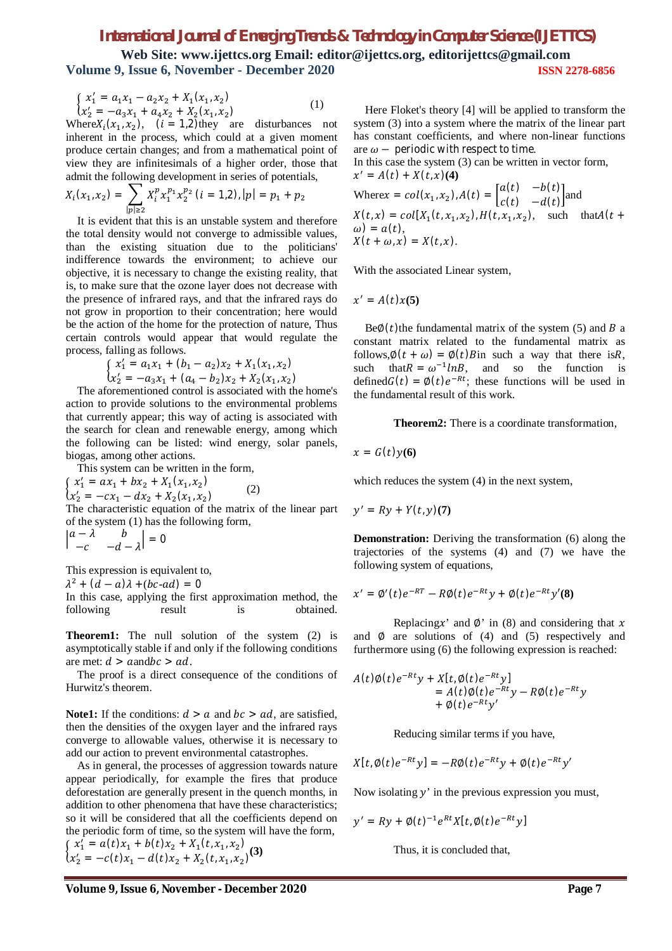# *International Journal of Emerging Trends & Technology in Computer Science (IJETTCS)*

**Web Site: www.ijettcs.org Email: editor@ijettcs.org, editorijettcs@gmail.com Volume 9, Issue 6, November - December 2020 ISSN 2278-6856**

$$
\begin{cases}\nx_1' = a_1x_1 - a_2x_2 + X_1(x_1, x_2) \\
x_2' = -a_3x_1 + a_4x_2 + X_2(x_1, x_2)\n\end{cases} (1)
$$

Where $X_i(x_1, x_2)$ ,  $(i = 1, 2)$ they are disturbances not inherent in the process, which could at a given moment produce certain changes; and from a mathematical point of view they are infinitesimals of a higher order, those that admit the following development in series of potentials,

$$
X_i(x_1, x_2) = \sum_{|p| \ge 2} X_i^p x_1^{p_1} x_2^{p_2} (i = 1, 2), |p| = p_1 + p_2
$$

It is evident that this is an unstable system and therefore the total density would not converge to admissible values, than the existing situation due to the politicians' indifference towards the environment; to achieve our objective, it is necessary to change the existing reality, that is, to make sure that the ozone layer does not decrease with the presence of infrared rays, and that the infrared rays do not grow in proportion to their concentration; here would be the action of the home for the protection of nature, Thus certain controls would appear that would regulate the process, falling as follows.

$$
\begin{cases} x_1' = a_1 x_1 + (b_1 - a_2) x_2 + X_1 (x_1, x_2) \\ x_2' = -a_3 x_1 + (a_4 - b_2) x_2 + X_2 (x_1, x_2) \end{cases}
$$

The aforementioned control is associated with the home's action to provide solutions to the environmental problems that currently appear; this way of acting is associated with the search for clean and renewable energy, among which the following can be listed: wind energy, solar panels, biogas, among other actions.

This system can be written in the form,

 $\begin{cases} x_1 - \alpha x_1 + \alpha x_2 + x_1 x_1 x_2 \\ x_2' = -c x_1 - d x_2 + x_2 (x_1, x_2) \end{cases}$  $x'_1 = ax_1 + bx_2 + X_1(x_1, x_2)$  (2) The characteristic equation of the matrix of the linear part

of the system (1) has the following form,  $\begin{vmatrix} a - \lambda & b \\ c & d \end{vmatrix}$  $\begin{vmatrix} -\lambda & b \\ -c & -d - \lambda \end{vmatrix} = 0$ 

This expression is equivalent to,

 $\lambda^2 + (d - a)\lambda + (bc - ad) = 0$ 

In this case, applying the first approximation method, the following result is obtained.

**Theorem1:** The null solution of the system (2) is asymptotically stable if and only if the following conditions are met:  $d > a$ and $bc > ad$ .

The proof is a direct consequence of the conditions of Hurwitz's theorem.

**Note1:** If the conditions:  $d > a$  and  $bc > ad$ , are satisfied, then the densities of the oxygen layer and the infrared rays converge to allowable values, otherwise it is necessary to add our action to prevent environmental catastrophes.

As in general, the processes of aggression towards nature appear periodically, for example the fires that produce deforestation are generally present in the quench months, in addition to other phenomena that have these characteristics; so it will be considered that all the coefficients depend on the periodic form of time, so the system will have the form,  $\begin{cases}\nx'_1 = a(t)x_1 + b(t)x_2 + X_1(t,x_1,x_2) \\
u'_1 = a(t)x_1 + a(t)x_2 + X_1(t,x_1,x_2)\n\end{cases}$ 

$$
(x_2' = -c(t)x_1 - d(t)x_2 + X_2(t, x_1, x_2)^{(3)}
$$

Here Floket's theory [4] will be applied to transform the system (3) into a system where the matrix of the linear part has constant coefficients, and where non-linear functions are  $\omega$  – periodic with respect to time.

In this case the system (3) can be written in vector form,  $x' = A(t) + X(t, x)(4)$ 

Where
$$
\begin{aligned} \text{Where} & x = col(x_1, x_2), A(t) = \begin{bmatrix} a(t) & -b(t) \\ c(t) & -d(t) \end{bmatrix} \text{ and } \\ X(t, x) &= col[X_1(t, x_1, x_2), H(t, x_1, x_2), \quad \text{such that} \\ A(t + \omega) &= a(t), \\ X(t + \omega, x) &= X(t, x). \end{aligned}
$$

With the associated Linear system,

$$
x' = A(t)x(5)
$$

 $Be@(t)$ the fundamental matrix of the system (5) and B a constant matrix related to the fundamental matrix as follows, $\emptyset(t + \omega) = \emptyset(t)$  a way that there is R, such that  $R = \omega^{-1} ln B$ , and so the function is defined  $G(t) = \phi(t)e^{-Rt}$ ; these functions will be used in the fundamental result of this work.

**Theorem2:** There is a coordinate transformation,

$$
x = G(t)y(6)
$$

which reduces the system (4) in the next system,

$$
y' = Ry + Y(t, y)(7)
$$

**Demonstration:** Deriving the transformation (6) along the trajectories of the systems (4) and (7) we have the following system of equations,

$$
x' = \emptyset'(t)e^{-RT} - R\emptyset(t)e^{-Rt}y + \emptyset(t)e^{-Rt}y'(8)
$$

Replacing x' and  $\emptyset$ ' in (8) and considering that x and  $\emptyset$  are solutions of (4) and (5) respectively and furthermore using (6) the following expression is reached:

$$
A(t)\emptyset(t)e^{-Rt}y + X[t, \emptyset(t)e^{-Rt}y] = A(t)\emptyset(t)e^{-Rt}y - R\emptyset(t)e^{-Rt}y + \emptyset(t)e^{-Rt}y'
$$

Reducing similar terms if you have,

$$
X[t,\emptyset(t)e^{-Rt}y] = -R\emptyset(t)e^{-Rt}y + \emptyset(t)e^{-Rt}y'
$$

Now isolating  $y'$  in the previous expression you must,

$$
y' = Ry + \emptyset(t)^{-1}e^{Rt}X[t,\emptyset(t)e^{-Rt}y]
$$

Thus, it is concluded that,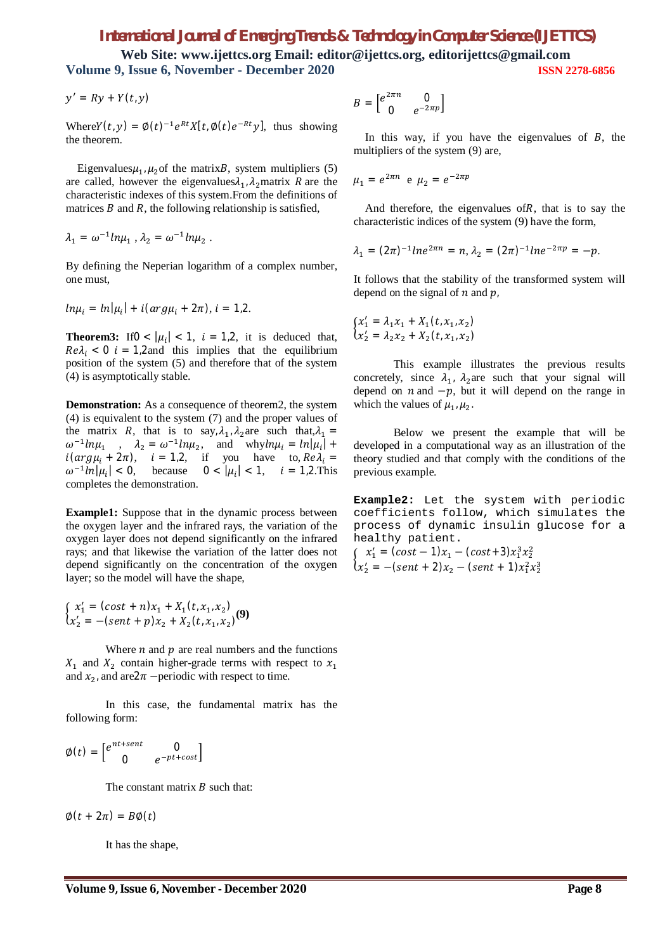## *International Journal of Emerging Trends & Technology in Computer Science (IJETTCS)*

**Web Site: www.ijettcs.org Email: editor@ijettcs.org, editorijettcs@gmail.com Volume 9, Issue 6, November - December 2020 ISSN 2278-6856**

$$
y' = Ry + Y(t, y)
$$

Where  $Y(t, y) = \phi(t)^{-1} e^{Rt} X[t, \phi(t) e^{-Rt} y]$ , thus showing the theorem.

Eigenvalues $\mu_1$ ,  $\mu_2$  of the matrix $B$ , system multipliers (5) are called, however the eigenvalues $\lambda_1$ ,  $\lambda_2$  matrix R are the characteristic indexes of this system.From the definitions of matrices  $B$  and  $R$ , the following relationship is satisfied,

$$
\lambda_1 = \omega^{-1} ln \mu_1 , \lambda_2 = \omega^{-1} ln \mu_2 .
$$

By defining the Neperian logarithm of a complex number, one must,

$$
ln\mu_i = ln|\mu_i| + i(\arg\mu_i + 2\pi), i = 1,2.
$$

**Theorem3:** If  $0 < |\mu_i| < 1$ ,  $i = 1, 2$ , it is deduced that,  $Re\lambda_i$  < 0  $i = 1,2$  and this implies that the equilibrium position of the system (5) and therefore that of the system (4) is asymptotically stable.

**Demonstration:** As a consequence of theorem2, the system (4) is equivalent to the system (7) and the proper values of the matrix R, that is to say,  $\lambda_1$ ,  $\lambda_2$  are such that,  $\lambda_1 =$  $\omega^{-1} ln \mu_1$ ,  $\lambda_2 = \omega^{-1} ln \mu_2$ , and  $why ln \mu_i = ln |\mu_i| +$  $i(\arg \mu_i + 2\pi)$ ,  $i = 1,2$ , if you have to  $\operatorname{Re} \lambda_i =$  $\omega^{-1} \ln |\mu_i| < 0$ , because  $0 < |\mu_i| < 1$ ,  $i = 1,2$ . This completes the demonstration.

**Example1:** Suppose that in the dynamic process between the oxygen layer and the infrared rays, the variation of the oxygen layer does not depend significantly on the infrared rays; and that likewise the variation of the latter does not depend significantly on the concentration of the oxygen layer; so the model will have the shape,

$$
\begin{cases} x_1' = (\text{cost} + n)x_1 + X_1(t, x_1, x_2) \\ x_2' = -(\text{sent} + p)x_2 + X_2(t, x_1, x_2) \end{cases} (9)
$$

Where  $n$  and  $p$  are real numbers and the functions  $X_1$  and  $X_2$  contain higher-grade terms with respect to  $x_1$ and  $x_2$ , and are $2\pi$  –periodic with respect to time.

In this case, the fundamental matrix has the following form:

$$
\emptyset(t) = \begin{bmatrix} e^{nt+sent} & 0 \\ 0 & e^{-pt+cost} \end{bmatrix}
$$

The constant matrix  $B$  such that:

$$
\emptyset(t+2\pi)=B\emptyset(t)
$$

It has the shape,

$$
B = \begin{bmatrix} e^{2\pi n} & 0 \\ 0 & e^{-2\pi p} \end{bmatrix}
$$

In this way, if you have the eigenvalues of  $B$ , the multipliers of the system (9) are,

$$
\mu_1 = e^{2\pi n} e \mu_2 = e^{-2\pi p}
$$

And therefore, the eigenvalues of  $R$ , that is to say the characteristic indices of the system (9) have the form,

$$
\lambda_1 = (2\pi)^{-1} l n e^{2\pi n} = n, \lambda_2 = (2\pi)^{-1} l n e^{-2\pi p} = -p.
$$

It follows that the stability of the transformed system will depend on the signal of  $n$  and  $p$ .

$$
\begin{cases} x_1' = \lambda_1 x_1 + X_1(t, x_1, x_2) \\ x_2' = \lambda_2 x_2 + X_2(t, x_1, x_2) \end{cases}
$$

This example illustrates the previous results concretely, since  $\lambda_1$ ,  $\lambda_2$  are such that your signal will depend on  $n$  and  $-p$ , but it will depend on the range in which the values of  $\mu_1, \mu_2$ .

Below we present the example that will be developed in a computational way as an illustration of the theory studied and that comply with the conditions of the previous example.

**Example2:** Let the system with periodic coefficients follow, which simulates the process of dynamic insulin glucose for a healthy patient.

 $x_1^2 - \cos t + 2x_1^2 - (\cos t + 5)x_1x_2^2$ <br> $x_2^3 = -(\text{sent} + 2)x_2 - (\text{sent} + 1)x_1^2x_2^3$  $x'_1 = (cost - 1)x_1 - (cost + 3)x_1^3x_2^2$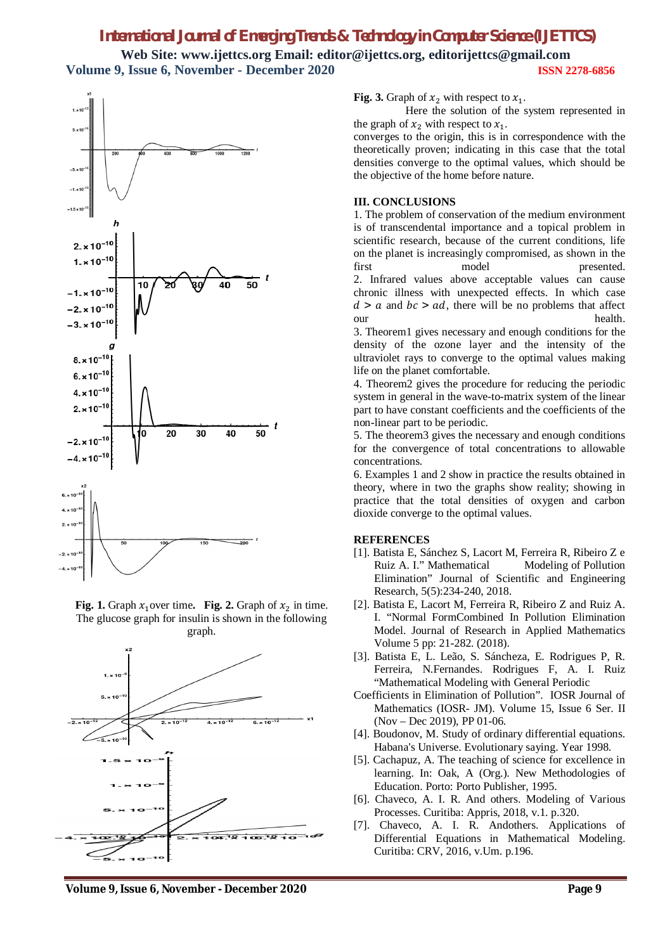# *International Journal of Emerging Trends & Technology in Computer Science (IJETTCS)* **Web Site: www.ijettcs.org Email: editor@ijettcs.org, editorijettcs@gmail.com Volume 9, Issue 6, November - December 2020 ISSN 2278-6856**



**Fig. 1.** Graph  $x_1$  over time. Fig. 2. Graph of  $x_2$  in time. The glucose graph for insulin is shown in the following graph.



**Fig. 3.** Graph of  $x_2$  with respect to  $x_1$ .

Here the solution of the system represented in the graph of  $x_2$  with respect to  $x_1$ .

converges to the origin, this is in correspondence with the theoretically proven; indicating in this case that the total densities converge to the optimal values, which should be the objective of the home before nature.

#### **III. CONCLUSIONS**

1. The problem of conservation of the medium environment is of transcendental importance and a topical problem in scientific research, because of the current conditions, life on the planet is increasingly compromised, as shown in the first model presented. 2. Infrared values above acceptable values can cause chronic illness with unexpected effects. In which case  $d > a$  and  $bc > ad$ , there will be no problems that affect our health.

3. Theorem1 gives necessary and enough conditions for the density of the ozone layer and the intensity of the ultraviolet rays to converge to the optimal values making life on the planet comfortable.

4. Theorem2 gives the procedure for reducing the periodic system in general in the wave-to-matrix system of the linear part to have constant coefficients and the coefficients of the non-linear part to be periodic.

5. The theorem3 gives the necessary and enough conditions for the convergence of total concentrations to allowable concentrations.

6. Examples 1 and 2 show in practice the results obtained in theory, where in two the graphs show reality; showing in practice that the total densities of oxygen and carbon dioxide converge to the optimal values.

## **REFERENCES**

- [1]. Batista E, Sánchez S, Lacort M, Ferreira R, Ribeiro Z e Ruiz A. I." Mathematical Modeling of Pollution Elimination" Journal of Scientific and Engineering Research, 5(5):234-240, 2018.
- [2]. Batista E, Lacort M, Ferreira R, Ribeiro Z and Ruiz A. I. "Normal FormCombined In Pollution Elimination Model. Journal of Research in Applied Mathematics Volume 5 pp: 21-282. (2018).
- [3]. Batista E, L. Leão, S. Sáncheza, E. Rodrigues P, R. Ferreira, N.Fernandes. Rodrigues F, A. I. Ruiz "Mathematical Modeling with General Periodic
- Coefficients in Elimination of Pollution". IOSR Journal of Mathematics (IOSR- JM). Volume 15, Issue 6 Ser. II (Nov – Dec 2019), PP 01-06.
- [4]. Boudonov, M. Study of ordinary differential equations. Habana's Universe. Evolutionary saying. Year 1998.
- [5]. Cachapuz, A. The teaching of science for excellence in learning. In: Oak, A (Org.). New Methodologies of Education. Porto: Porto Publisher, 1995.
- [6]. Chaveco, A. I. R. And others. Modeling of Various Processes. Curitiba: Appris, 2018, v.1. p.320.
- [7]. Chaveco, A. I. R. Andothers. Applications of Differential Equations in Mathematical Modeling. Curitiba: CRV, 2016, v.Um. p.196.

#### **Volume 9, Issue 6, November - December 2020 Page 9**